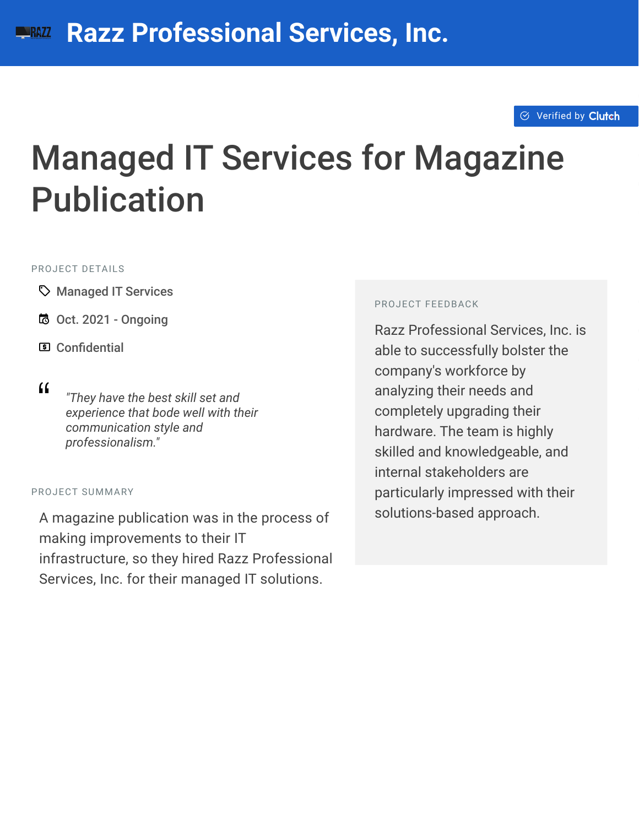#### $\otimes$  [Verified by](https://clutch.co?utm_source=case_studies&utm_medium=verified_by_clutch) Clutch

# Managed IT Services for Magazine Publication

#### PROJECT DETAILS

- A Managed IT Services
- B Oct. 2021 Ongoing
- **国 Confidential**

<sup>D</sup> *"They have the best skill set and experience that bode well with their communication style and professionalism."*

#### PROJECT SUMMARY

A magazine publication was in the process of making improvements to their IT infrastructure, so they hired Razz Professional Services, Inc. for their managed IT solutions.

#### PROJECT FEEDBACK

Razz Professional Services, Inc. is able to successfully bolster the company's workforce by analyzing their needs and completely upgrading their hardware. The team is highly skilled and knowledgeable, and internal stakeholders are particularly impressed with their solutions-based approach.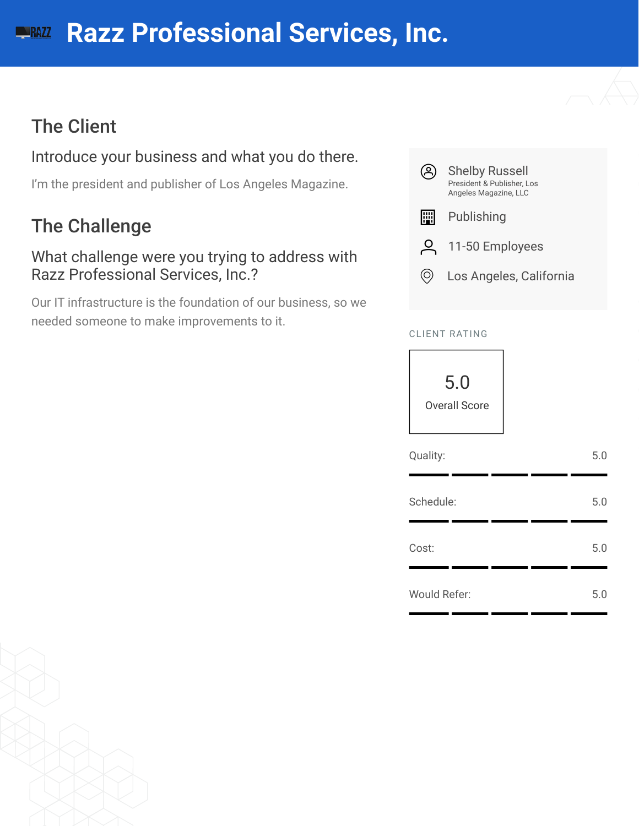#### **[R](https://clutch.co/profile/razz-professional-services?utm_source=case_studies&utm_medium=logo)azz Professional Services, Inc. NRAZZ**

# The Client

#### Introduce your business and what you do there.

I'm the president and publisher of Los Angeles Magazine.

# The Challenge

What challenge were you trying to address with Razz Professional Services, Inc.?

Our IT infrastructure is the foundation of our business, so we needed someone to make improvements to it.



#### CLIENT RATING



| Quality:            | 5.0 |
|---------------------|-----|
| Schedule:           | 5.0 |
| Cost:               | 5.0 |
| <b>Would Refer:</b> | 5.0 |

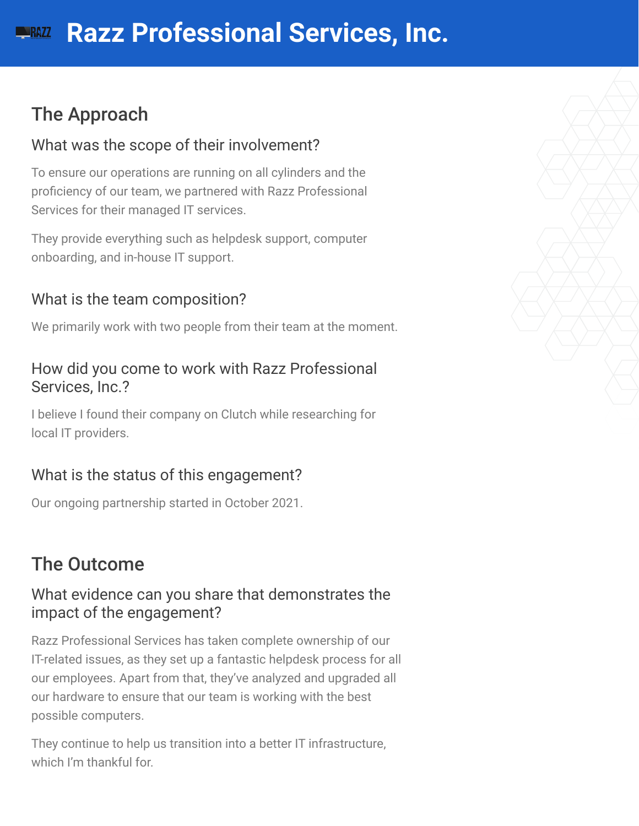# The Approach

#### What was the scope of their involvement?

To ensure our operations are running on all cylinders and the proficiency of our team, we partnered with Razz Professional Services for their managed IT services.

They provide everything such as helpdesk support, computer onboarding, and in-house IT support.

#### What is the team composition?

We primarily work with two people from their team at the moment.

#### How did you come to work with Razz Professional Services, Inc.?

I believe I found their company on Clutch while researching for local IT providers.

#### What is the status of this engagement?

Our ongoing partnership started in October 2021.

# The Outcome

#### What evidence can you share that demonstrates the impact of the engagement?

Razz Professional Services has taken complete ownership of our IT-related issues, as they set up a fantastic helpdesk process for all our employees. Apart from that, they've analyzed and upgraded all our hardware to ensure that our team is working with the best possible computers.

They continue to help us transition into a better IT infrastructure, which I'm thankful for.